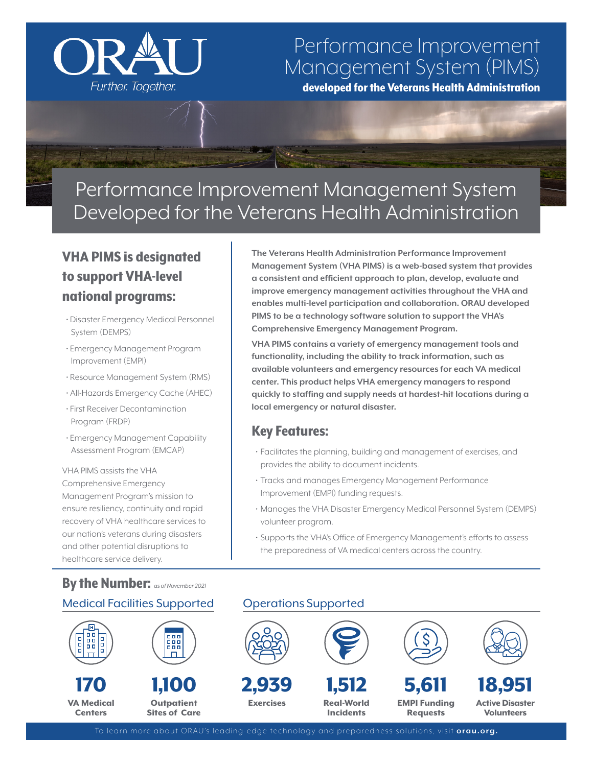

## Performance Improvement Management System (PIMS)

developed for the Veterans Health Administration

# Performance Improvement Management System Developed for the Veterans Health Administration

### VHA PIMS is designated to support VHA-level national programs:

- Disaster Emergency Medical Personnel System (DEMPS)
- Emergency Management Program Improvement (EMPI)
- Resource Management System (RMS)
- All-Hazards Emergency Cache (AHEC)
- First Receiver Decontamination Program (FRDP)
- Emergency Management Capability Assessment Program (EMCAP)

VHA PIMS assists the VHA Comprehensive Emergency Management Program's mission to ensure resiliency, continuity and rapid recovery of VHA healthcare services to our nation's veterans during disasters and other potential disruptions to healthcare service delivery.

#### By the Number: as of November 2021 Medical Facilities Supported



VA Medical **Centers** 

1**.100** 

888<br>888<br>888

**Outpatient** Sites of Care



**VHA PIMS contains a variety of emergency management tools and functionality, including the ability to track information, such as available volunteers and emergency resources for each VA medical center. This product helps VHA emergency managers to respond quickly to staffing and supply needs at hardest-hit locations during a local emergency or natural disaster.** 

#### Key Features:

- Facilitates the planning, building and management of exercises, and provides the ability to document incidents.
- Tracks and manages Emergency Management Performance Improvement (EMPI) funding requests.
- Manages the VHA Disaster Emergency Medical Personnel System (DEMPS) volunteer program.
- Supports the VHA's Office of Emergency Management's efforts to assess the preparedness of VA medical centers across the country.

#### Operations Supported



To learn more about ORAU's leading-edge technology and preparedness solutions, visit [orau.org.](http://www.orau.org)